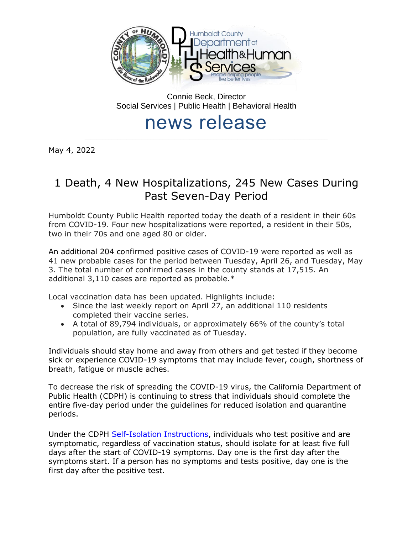

Connie Beck, Director Social Services | Public Health | Behavioral Health

# news release \_\_\_\_\_\_\_\_\_\_\_\_\_\_\_\_\_\_\_\_\_\_\_\_\_\_\_\_\_\_\_\_\_\_\_\_\_\_\_\_\_\_\_\_\_\_\_\_\_\_\_\_\_\_\_\_\_\_\_\_\_\_\_\_\_\_\_\_\_\_\_\_\_\_\_\_\_\_\_\_\_

May 4, 2022

# 1 Death, 4 New Hospitalizations, 245 New Cases During Past Seven-Day Period

Humboldt County Public Health reported today the death of a resident in their 60s from COVID-19. Four new hospitalizations were reported, a resident in their 50s, two in their 70s and one aged 80 or older.

An additional 204 confirmed positive cases of COVID-19 were reported as well as 41 new probable cases for the period between Tuesday, April 26, and Tuesday, May 3. The total number of confirmed cases in the county stands at 17,515. An additional 3,110 cases are reported as probable.\*

Local vaccination data has been updated. Highlights include:

- Since the last weekly report on April 27, an additional 110 residents completed their vaccine series.
- A total of 89,794 individuals, or approximately 66% of the county's total population, are fully vaccinated as of Tuesday.

Individuals should stay home and away from others and get tested if they become sick or experience COVID-19 symptoms that may include fever, cough, shortness of breath, fatigue or muscle aches.

To decrease the risk of spreading the COVID-19 virus, the California Department of Public Health (CDPH) is continuing to stress that individuals should complete the entire five-day period under the guidelines for reduced isolation and quarantine periods.

Under the CDPH [Self-Isolation Instructions,](https://www.cdph.ca.gov/Programs/CID/DCDC/CDPH%20Document%20Library/COVID-19/self-isolation-instructions.pdf) individuals who test positive and are symptomatic, regardless of vaccination status, should isolate for at least five full days after the start of COVID-19 symptoms. Day one is the first day after the symptoms start. If a person has no symptoms and tests positive, day one is the first day after the positive test.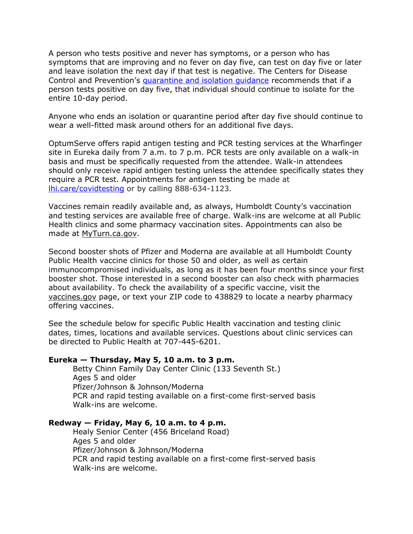A person who tests positive and never has symptoms, or a person who has symptoms that are improving and no fever on day five, can test on day five or later and leave isolation the next day if that test is negative. The Centers for Disease Control and Prevention's [quarantine and isolation guidance](https://www.cdc.gov/coronavirus/2019-ncov/your-health/quarantine-isolation.html) recommends that if a person tests positive on day five, that individual should continue to isolate for the entire 10-day period.

Anyone who ends an isolation or quarantine period after day five should continue to wear a well-fitted mask around others for an additional five days.

OptumServe offers rapid antigen testing and PCR testing services at the Wharfinger site in Eureka daily from 7 a.m. to 7 p.m. PCR tests are only available on a walk-in basis and must be specifically requested from the attendee. Walk-in attendees should only receive rapid antigen testing unless the attendee specifically states they require a PCR test. Appointments for antigen testing be made at [lhi.care/covidtesting](https://lhi.care/covidtesting) or by calling 888-634-1123.

Vaccines remain readily available and, as always, Humboldt County's vaccination and testing services are available free of charge. Walk-ins are welcome at all Public Health clinics and some pharmacy vaccination sites. Appointments can also be made at [MyTurn.ca.gov.](https://myturn.ca.gov/)

Second booster shots of Pfizer and Moderna are available at all Humboldt County Public Health vaccine clinics for those 50 and older, as well as certain immunocompromised individuals, as long as it has been four months since your first booster shot. Those interested in a second booster can also check with pharmacies about availability. To check the availability of a specific vaccine, visit the [vaccines.gov](https://www.vaccines.gov/search/) page, or text your ZIP code to 438829 to locate a nearby pharmacy offering vaccines.

See the schedule below for specific Public Health vaccination and testing clinic dates, times, locations and available services. Questions about clinic services can be directed to Public Health at 707-445-6201.

# **Eureka — Thursday, May 5, 10 a.m. to 3 p.m.**

Betty Chinn Family Day Center Clinic (133 Seventh St.) Ages 5 and older Pfizer/Johnson & Johnson/Moderna PCR and rapid testing available on a first-come first-served basis Walk-ins are welcome.

# **Redway — Friday, May 6, 10 a.m. to 4 p.m.**

Healy Senior Center (456 Briceland Road) Ages 5 and older Pfizer/Johnson & Johnson/Moderna PCR and rapid testing available on a first-come first-served basis Walk-ins are welcome.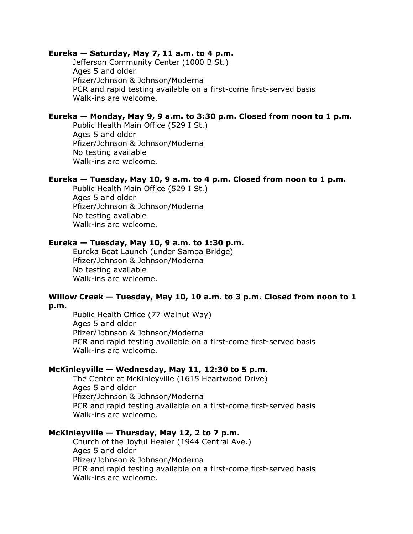#### **Eureka — Saturday, May 7, 11 a.m. to 4 p.m.**

Jefferson Community Center (1000 B St.) Ages 5 and older Pfizer/Johnson & Johnson/Moderna PCR and rapid testing available on a first-come first-served basis Walk-ins are welcome.

# **Eureka — Monday, May 9, 9 a.m. to 3:30 p.m. Closed from noon to 1 p.m.**

Public Health Main Office (529 I St.) Ages 5 and older Pfizer/Johnson & Johnson/Moderna No testing available Walk-ins are welcome.

#### **Eureka — Tuesday, May 10, 9 a.m. to 4 p.m. Closed from noon to 1 p.m.**

Public Health Main Office (529 I St.) Ages 5 and older Pfizer/Johnson & Johnson/Moderna No testing available Walk-ins are welcome.

### **Eureka — Tuesday, May 10, 9 a.m. to 1:30 p.m.**

Eureka Boat Launch (under Samoa Bridge) Pfizer/Johnson & Johnson/Moderna No testing available Walk-ins are welcome.

# **Willow Creek — Tuesday, May 10, 10 a.m. to 3 p.m. Closed from noon to 1 p.m.**

Public Health Office (77 Walnut Way) Ages 5 and older Pfizer/Johnson & Johnson/Moderna PCR and rapid testing available on a first-come first-served basis Walk-ins are welcome.

# **McKinleyville — Wednesday, May 11, 12:30 to 5 p.m.**

The Center at McKinleyville (1615 Heartwood Drive) Ages 5 and older Pfizer/Johnson & Johnson/Moderna PCR and rapid testing available on a first-come first-served basis Walk-ins are welcome.

#### **McKinleyville — Thursday, May 12, 2 to 7 p.m.**

Church of the Joyful Healer (1944 Central Ave.) Ages 5 and older Pfizer/Johnson & Johnson/Moderna PCR and rapid testing available on a first-come first-served basis Walk-ins are welcome.